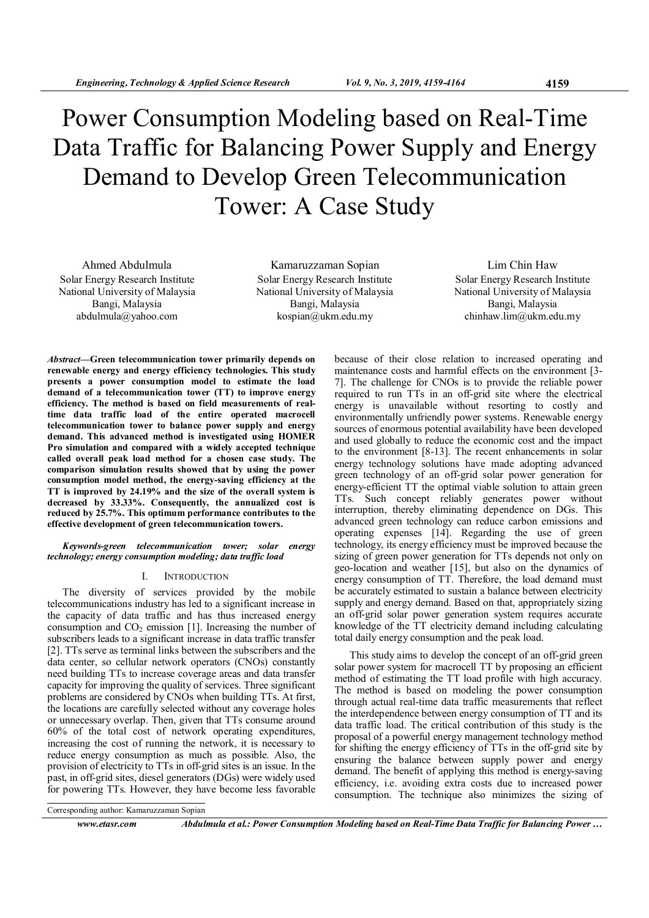# Power Consumption Modeling based on Real-Time Data Traffic for Balancing Power Supply and Energy Demand to Develop Green Telecommunication Tower: A Case Study

Ahmed Abdulmula Solar Energy Research Institute National University of Malaysia Bangi, Malaysia abdulmula@yahoo.com

Kamaruzzaman Sopian Solar Energy Research Institute National University of Malaysia Bangi, Malaysia kospian@ukm.edu.my

Lim Chin Haw Solar Energy Research Institute National University of Malaysia Bangi, Malaysia chinhaw.lim@ukm.edu.my

Abstract—Green telecommunication tower primarily depends on renewable energy and energy efficiency technologies. This study presents a power consumption model to estimate the load demand of a telecommunication tower (TT) to improve energy efficiency. The method is based on field measurements of realtime data traffic load of the entire operated macrocell telecommunication tower to balance power supply and energy demand. This advanced method is investigated using HOMER Pro simulation and compared with a widely accepted technique called overall peak load method for a chosen case study. The comparison simulation results showed that by using the power consumption model method, the energy-saving efficiency at the TT is improved by 24.19% and the size of the overall system is decreased by 33.33%. Consequently, the annualized cost is reduced by 25.7%. This optimum performance contributes to the effective development of green telecommunication towers.

# Keywords-green telecommunication tower; solar energy technology; energy consumption modeling; data traffic load

# I. INTRODUCTION

The diversity of services provided by the mobile telecommunications industry has led to a significant increase in the capacity of data traffic and has thus increased energy consumption and  $CO<sub>2</sub>$  emission [1]. Increasing the number of subscribers leads to a significant increase in data traffic transfer [2]. TTs serve as terminal links between the subscribers and the data center, so cellular network operators (CNOs) constantly need building TTs to increase coverage areas and data transfer capacity for improving the quality of services. Three significant problems are considered by CNOs when building TTs. At first, the locations are carefully selected without any coverage holes or unnecessary overlap. Then, given that TTs consume around 60% of the total cost of network operating expenditures, increasing the cost of running the network, it is necessary to reduce energy consumption as much as possible. Also, the provision of electricity to TTs in off-grid sites is an issue. In the past, in off-grid sites, diesel generators (DGs) were widely used for powering TTs. However, they have become less favorable

because of their close relation to increased operating and maintenance costs and harmful effects on the environment [3- 7]. The challenge for CNOs is to provide the reliable power required to run TTs in an off-grid site where the electrical energy is unavailable without resorting to costly and environmentally unfriendly power systems. Renewable energy sources of enormous potential availability have been developed and used globally to reduce the economic cost and the impact to the environment [8-13]. The recent enhancements in solar energy technology solutions have made adopting advanced green technology of an off-grid solar power generation for energy-efficient TT the optimal viable solution to attain green TTs. Such concept reliably generates power without interruption, thereby eliminating dependence on DGs. This advanced green technology can reduce carbon emissions and operating expenses [14]. Regarding the use of green technology, its energy efficiency must be improved because the sizing of green power generation for TTs depends not only on geo-location and weather [15], but also on the dynamics of energy consumption of TT. Therefore, the load demand must be accurately estimated to sustain a balance between electricity supply and energy demand. Based on that, appropriately sizing an off-grid solar power generation system requires accurate knowledge of the TT electricity demand including calculating total daily energy consumption and the peak load.

This study aims to develop the concept of an off-grid green solar power system for macrocell TT by proposing an efficient method of estimating the TT load profile with high accuracy. The method is based on modeling the power consumption through actual real-time data traffic measurements that reflect the interdependence between energy consumption of TT and its data traffic load. The critical contribution of this study is the proposal of a powerful energy management technology method for shifting the energy efficiency of TTs in the off-grid site by ensuring the balance between supply power and energy demand. The benefit of applying this method is energy-saving efficiency, i.e. avoiding extra costs due to increased power consumption. The technique also minimizes the sizing of

www.etasr.com Abdulmula et al.: Power Consumption Modeling based on Real-Time Data Traffic for Balancing Power …

Corresponding author: Kamaruzzaman Sopian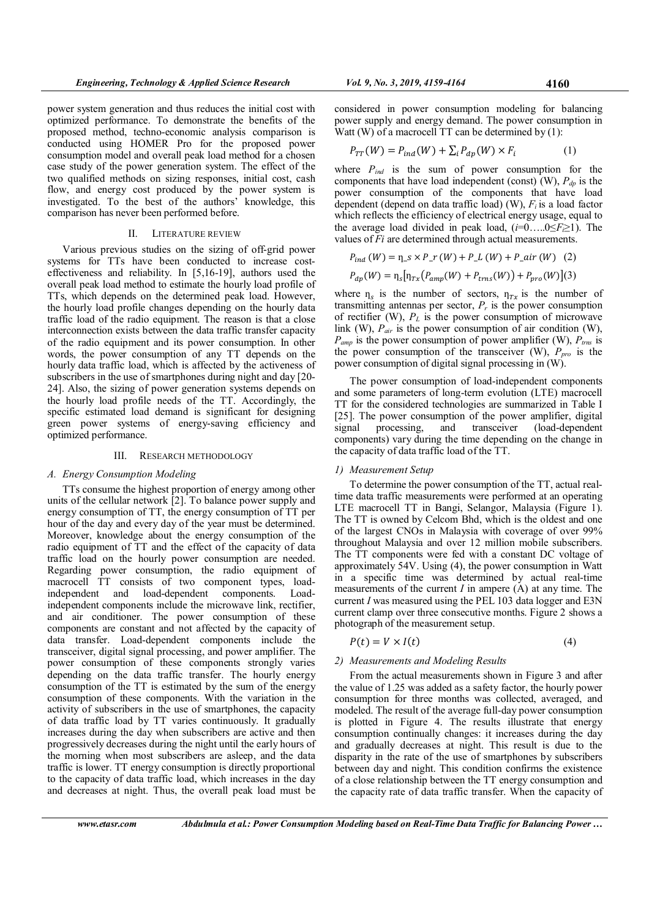power system generation and thus reduces the initial cost with optimized performance. To demonstrate the benefits of the proposed method, techno-economic analysis comparison is conducted using HOMER Pro for the proposed power consumption model and overall peak load method for a chosen case study of the power generation system. The effect of the two qualified methods on sizing responses, initial cost, cash flow, and energy cost produced by the power system is investigated. To the best of the authors' knowledge, this comparison has never been performed before.

## II. LITERATURE REVIEW

Various previous studies on the sizing of off-grid power systems for TTs have been conducted to increase costeffectiveness and reliability. In [5,16-19], authors used the overall peak load method to estimate the hourly load profile of TTs, which depends on the determined peak load. However, the hourly load profile changes depending on the hourly data traffic load of the radio equipment. The reason is that a close interconnection exists between the data traffic transfer capacity of the radio equipment and its power consumption. In other words, the power consumption of any TT depends on the hourly data traffic load, which is affected by the activeness of subscribers in the use of smartphones during night and day [20- 24]. Also, the sizing of power generation systems depends on the hourly load profile needs of the TT. Accordingly, the specific estimated load demand is significant for designing green power systems of energy-saving efficiency and optimized performance.

## III. RESEARCH METHODOLOGY

## A. Energy Consumption Modeling

TTs consume the highest proportion of energy among other units of the cellular network [2]. To balance power supply and energy consumption of TT, the energy consumption of TT per hour of the day and every day of the year must be determined. Moreover, knowledge about the energy consumption of the radio equipment of TT and the effect of the capacity of data traffic load on the hourly power consumption are needed. Regarding power consumption, the radio equipment of macrocell TT consists of two component types, loadindependent and load-dependent components. Loadindependent components include the microwave link, rectifier, and air conditioner. The power consumption of these components are constant and not affected by the capacity of data transfer. Load-dependent components include the transceiver, digital signal processing, and power amplifier. The power consumption of these components strongly varies depending on the data traffic transfer. The hourly energy consumption of the TT is estimated by the sum of the energy consumption of these components. With the variation in the activity of subscribers in the use of smartphones, the capacity of data traffic load by TT varies continuously. It gradually increases during the day when subscribers are active and then progressively decreases during the night until the early hours of the morning when most subscribers are asleep, and the data traffic is lower. TT energy consumption is directly proportional to the capacity of data traffic load, which increases in the day and decreases at night. Thus, the overall peak load must be

considered in power consumption modeling for balancing power supply and energy demand. The power consumption in Watt (W) of a macrocell TT can be determined by (1):

$$
P_{TT}(W) = P_{ind}(W) + \sum_{i} P_{dp}(W) \times F_i \tag{1}
$$

where  $P_{ind}$  is the sum of power consumption for the components that have load independent (const) (W),  $P_{dp}$  is the power consumption of the components that have load dependent (depend on data traffic load) (W),  $F_i$  is a load factor which reflects the efficiency of electrical energy usage, equal to the average load divided in peak load,  $(i=0....0 \le F \ge 1)$ . The values of Fi are determined through actual measurements.

$$
P_{ind}(W) = \eta_{-}s \times P_{-}r(W) + P_{-}L(W) + P_{-}air(W)
$$
 (2)

$$
P_{dp}(W) = \eta_s [\eta_{Tx} (P_{amp}(W) + P_{trns}(W)) + P_{pro}(W)](3)
$$

where  $\eta_s$  is the number of sectors,  $\eta_{Tx}$  is the number of transmitting antennas per sector,  $P_r$  is the power consumption of rectifier (W),  $P<sub>L</sub>$  is the power consumption of microwave link (W),  $P_{air}$  is the power consumption of air condition (W),  $P_{amp}$  is the power consumption of power amplifier (W),  $P_{rms}$  is the power consumption of the transceiver (W),  $P_{pro}$  is the power consumption of digital signal processing in (W).

The power consumption of load-independent components and some parameters of long-term evolution (LTE) macrocell TT for the considered technologies are summarized in Table I [25]. The power consumption of the power amplifier, digital signal processing, and transceiver (load-dependent components) vary during the time depending on the change in the capacity of data traffic load of the TT.

# 1) Measurement Setup

To determine the power consumption of the TT, actual realtime data traffic measurements were performed at an operating LTE macrocell TT in Bangi, Selangor, Malaysia (Figure 1). The TT is owned by Celcom Bhd, which is the oldest and one of the largest CNOs in Malaysia with coverage of over 99% throughout Malaysia and over 12 million mobile subscribers. The TT components were fed with a constant DC voltage of approximately 54V. Using (4), the power consumption in Watt in a specific time was determined by actual real-time measurements of the current  $I$  in ampere  $(A)$  at any time. The current I was measured using the PEL 103 data logger and E3N current clamp over three consecutive months. Figure 2 shows a photograph of the measurement setup.

$$
P(t) = V \times I(t) \tag{4}
$$

# 2) Measurements and Modeling Results

From the actual measurements shown in Figure 3 and after the value of 1.25 was added as a safety factor, the hourly power consumption for three months was collected, averaged, and modeled. The result of the average full-day power consumption is plotted in Figure 4. The results illustrate that energy consumption continually changes: it increases during the day and gradually decreases at night. This result is due to the disparity in the rate of the use of smartphones by subscribers between day and night. This condition confirms the existence of a close relationship between the TT energy consumption and the capacity rate of data traffic transfer. When the capacity of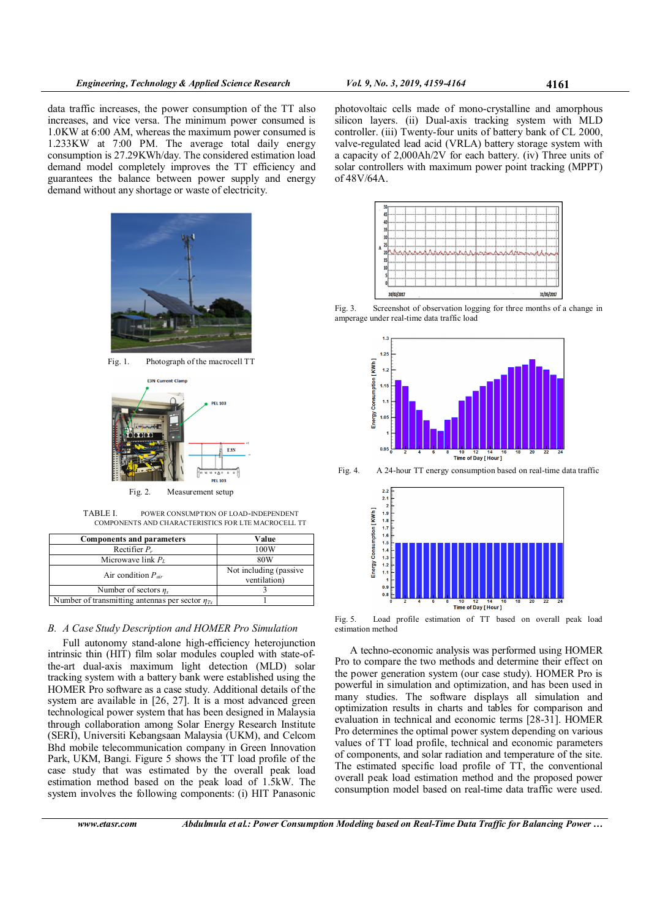data traffic increases, the power consumption of the TT also increases, and vice versa. The minimum power consumed is 1.0KW at 6:00 AM, whereas the maximum power consumed is 1.233KW at 7:00 PM. The average total daily energy consumption is 27.29KWh/day. The considered estimation load demand model completely improves the TT efficiency and guarantees the balance between power supply and energy demand without any shortage or waste of electricity.



Fig. 1. Photograph of the macrocell TT



Fig. 2. Measurement setup

TABLE I. POWER CONSUMPTION OF LOAD-INDEPENDENT COMPONENTS AND CHARACTERISTICS FOR LTE MACROCELL TT

| Value                                  |
|----------------------------------------|
| 100W                                   |
| 80W                                    |
| Not including (passive<br>ventilation) |
|                                        |
|                                        |
|                                        |

# B. A Case Study Description and HOMER Pro Simulation

Full autonomy stand-alone high-efficiency heterojunction intrinsic thin (HIT) film solar modules coupled with state-ofthe-art dual-axis maximum light detection (MLD) solar tracking system with a battery bank were established using the HOMER Pro software as a case study. Additional details of the system are available in [26, 27]. It is a most advanced green technological power system that has been designed in Malaysia through collaboration among Solar Energy Research Institute (SERI), Universiti Kebangsaan Malaysia (UKM), and Celcom Bhd mobile telecommunication company in Green Innovation Park, UKM, Bangi. Figure 5 shows the TT load profile of the case study that was estimated by the overall peak load estimation method based on the peak load of 1.5kW. The system involves the following components: (i) HIT Panasonic photovoltaic cells made of mono-crystalline and amorphous silicon layers. (ii) Dual-axis tracking system with MLD controller. (iii) Twenty-four units of battery bank of CL 2000, valve-regulated lead acid (VRLA) battery storage system with a capacity of 2,000Ah/2V for each battery. (iv) Three units of solar controllers with maximum power point tracking (MPPT) of 48 V/64 A.



Fig. 3. Screenshot of observation logging for three months of a change in amperage under real-time data traffic load



Fig. 4. A 24-hour TT energy consumption based on real-time data traffic



Fig. 5. Load profile estimation of TT based on overall peak load estimation method

A techno-economic analysis was performed using HOMER Pro to compare the two methods and determine their effect on the power generation system (our case study). HOMER Pro is powerful in simulation and optimization, and has been used in many studies. The software displays all simulation and optimization results in charts and tables for comparison and evaluation in technical and economic terms [28-31]. HOMER Pro determines the optimal power system depending on various values of TT load profile, technical and economic parameters of components, and solar radiation and temperature of the site. The estimated specific load profile of TT, the conventional overall peak load estimation method and the proposed power consumption model based on real-time data traffic were used.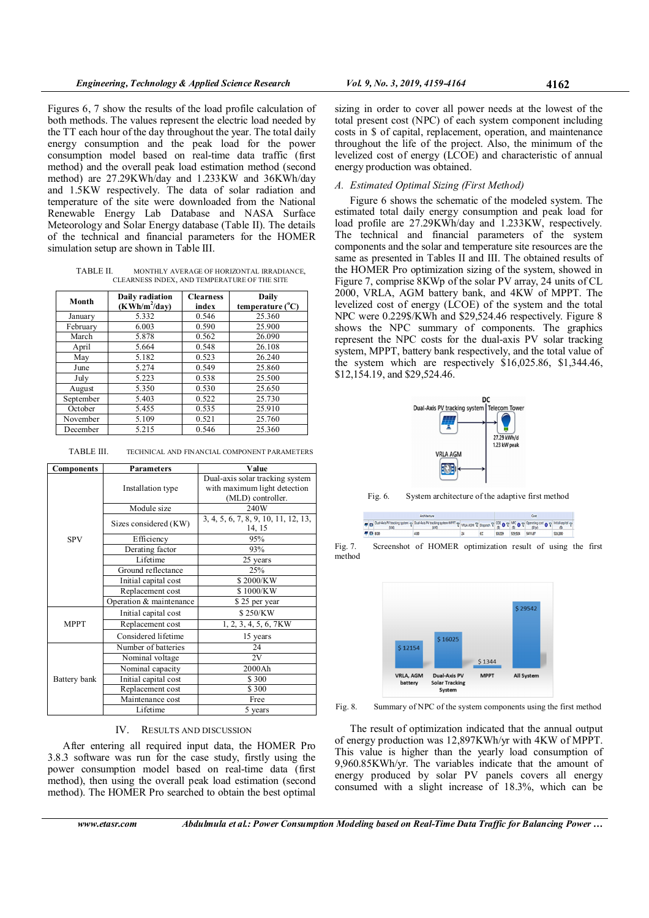Figures 6, 7 show the results of the load profile calculation of both methods. The values represent the electric load needed by the TT each hour of the day throughout the year. The total daily energy consumption and the peak load for the power consumption model based on real-time data traffic (first method) and the overall peak load estimation method (second method) are 27.29KWh/day and 1.233KW and 36KWh/day and 1.5KW respectively. The data of solar radiation and temperature of the site were downloaded from the National Renewable Energy Lab Database and NASA Surface Meteorology and Solar Energy database (Table II). The details of the technical and financial parameters for the HOMER simulation setup are shown in Table III.

TABLE II. MONTHLY AVERAGE OF HORIZONTAL IRRADIANCE, CLEARNESS INDEX, AND TEMPERATURE OF THE SITE

| Month     | Daily radiation<br>$(KWh/m^2/day)$ | <b>Clearness</b><br>index | Daily<br>temperature $(^{\circ}C)$ |
|-----------|------------------------------------|---------------------------|------------------------------------|
| January   | 5.332                              | 0.546                     | 25.360                             |
| February  | 6.003                              | 0.590                     | 25.900                             |
| March     | 5.878                              | 0.562                     | 26.090                             |
| April     | 5.664                              | 0.548                     | 26.108                             |
| May       | 5.182                              | 0.523                     | 26.240                             |
| June      | 5.274                              | 0.549                     | 25.860                             |
| July      | 5.223                              | 0.538                     | 25.500                             |
| August    | 5.350                              | 0.530                     | 25.650                             |
| September | 5.403                              | 0.522                     | 25.730                             |
| October   | 5.455                              | 0.535                     | 25.910                             |
| November  | 5.109                              | 0.521                     | 25.760                             |
| December  | 5.215                              | 0.546                     | 25.360                             |

| TABLE III.<br>TECHNICAL AND FINANCIAL COMPONENT PARAMETERS |  |
|------------------------------------------------------------|--|
|------------------------------------------------------------|--|

| <b>Components</b> | <b>Parameters</b>       | Value                                                                                |
|-------------------|-------------------------|--------------------------------------------------------------------------------------|
|                   | Installation type       | Dual-axis solar tracking system<br>with maximum light detection<br>(MLD) controller. |
|                   | Module size             | 240W                                                                                 |
|                   | Sizes considered (KW)   | 3, 4, 5, 6, 7, 8, 9, 10, 11, 12, 13,<br>14, 15                                       |
| <b>SPV</b>        | Efficiency              | 95%                                                                                  |
|                   | Derating factor         | 93%                                                                                  |
|                   | Lifetime                | 25 years                                                                             |
|                   | Ground reflectance      | 25%                                                                                  |
|                   | Initial capital cost    | \$2000/KW                                                                            |
|                   | Replacement cost        | \$1000/KW                                                                            |
|                   | Operation & maintenance | \$25 per year                                                                        |
|                   | Initial capital cost    | \$250/KW                                                                             |
| <b>MPPT</b>       | Replacement cost        | 1, 2, 3, 4, 5, 6, 7KW                                                                |
|                   | Considered lifetime     | 15 years                                                                             |
|                   | Number of batteries     | 24                                                                                   |
|                   | Nominal voltage         | 2V                                                                                   |
|                   | Nominal capacity        | 2000Ah                                                                               |
| Battery bank      | Initial capital cost    | \$300                                                                                |
|                   | Replacement cost        | \$300                                                                                |
|                   | Maintenance cost        | Free                                                                                 |
|                   | Lifetime                | 5 years                                                                              |

## IV. RESULTS AND DISCUSSION

After entering all required input data, the HOMER Pro 3.8.3 software was run for the case study, firstly using the power consumption model based on real-time data (first method), then using the overall peak load estimation (second method). The HOMER Pro searched to obtain the best optimal

sizing in order to cover all power needs at the lowest of the total present cost (NPC) of each system component including costs in \$ of capital, replacement, operation, and maintenance throughout the life of the project. Also, the minimum of the levelized cost of energy (LCOE) and characteristic of annual energy production was obtained.

## A. Estimated Optimal Sizing (First Method)

Figure 6 shows the schematic of the modeled system. The estimated total daily energy consumption and peak load for load profile are 27.29KWh/day and 1.233KW, respectively. The technical and financial parameters of the system components and the solar and temperature site resources are the same as presented in Tables II and III. The obtained results of the HOMER Pro optimization sizing of the system, showed in Figure 7, comprise 8KWp of the solar PV array, 24 units of CL 2000, VRLA, AGM battery bank, and 4KW of MPPT. The levelized cost of energy (LCOE) of the system and the total NPC were 0.229\$/KWh and \$29,524.46 respectively. Figure 8 shows the NPC summary of components. The graphics represent the NPC costs for the dual-axis PV solar tracking system, MPPT, battery bank respectively, and the total value of the system which are respectively \$16,025.86, \$1,344.46, \$12,154.19, and \$29,524.46.



Fig. 6. System architecture of the adaptive first method

y Isląpij<br>G 24 CC 50229 S29.524 S411.87 **原語80**  $400$ \$24200

Fig. 7. Screenshot of HOMER optimization result of using the first method



Fig. 8. Summary of NPC of the system components using the first method

The result of optimization indicated that the annual output of energy production was 12,897KWh/yr with 4KW of MPPT. This value is higher than the yearly load consumption of 9,960.85KWh/yr. The variables indicate that the amount of energy produced by solar PV panels covers all energy consumed with a slight increase of 18.3%, which can be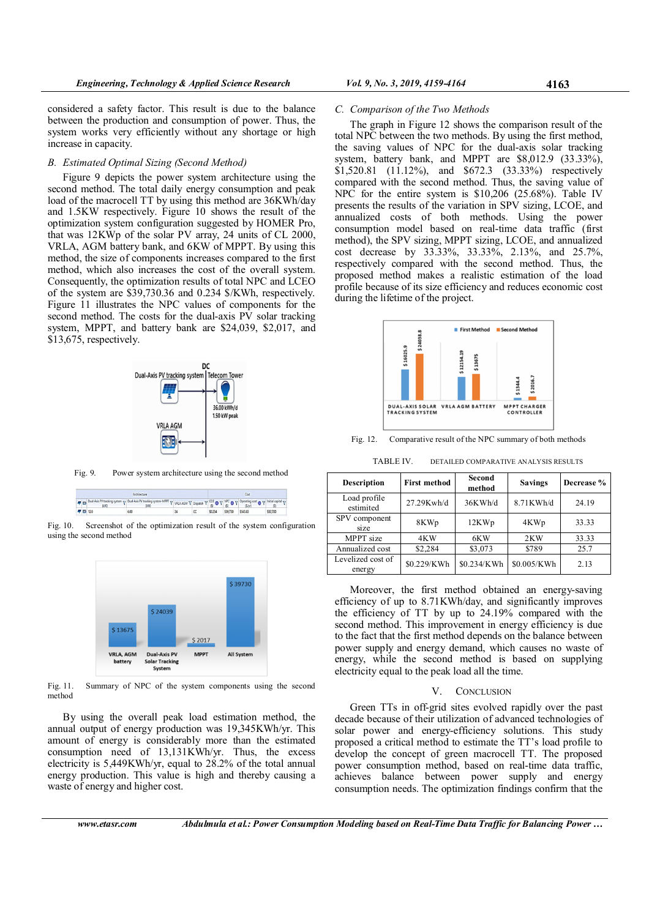C. Comparison of the Two Methods

considered a safety factor. This result is due to the balance between the production and consumption of power. Thus, the system works very efficiently without any shortage or high increase in capacity.

# B. Estimated Optimal Sizing (Second Method)

Figure 9 depicts the power system architecture using the second method. The total daily energy consumption and peak load of the macrocell TT by using this method are 36KWh/day and 1.5KW respectively. Figure 10 shows the result of the optimization system configuration suggested by HOMER Pro, that was 12KWp of the solar PV array, 24 units of CL 2000, VRLA, AGM battery bank, and 6KW of MPPT. By using this method, the size of components increases compared to the first method, which also increases the cost of the overall system. Consequently, the optimization results of total NPC and LCEO of the system are \$39,730.36 and 0.234 \$/KWh, respectively. Figure 11 illustrates the NPC values of components for the second method. The costs for the dual-axis  $\overrightarrow{PV}$  solar tracking system, MPPT, and battery bank are \$24,039, \$2,017, and \$13,675, respectively.



Fig. 9. Power system architecture using the second method

| Architecture |  |                |                                                                                                                                                                                                                         | Cost |         |                   |  |          |
|--------------|--|----------------|-------------------------------------------------------------------------------------------------------------------------------------------------------------------------------------------------------------------------|------|---------|-------------------|--|----------|
|              |  |                | <b>ED</b> Dual-Axis PV tracking system $\sqrt{9}$ Dual-Axis PV tracking system-MPPT $\sqrt{9}$ VRLA AGM $\sqrt{9}$ Depatch $\sqrt{9}$ $\sqrt{9}$ MPC $\sqrt{9}$ $\sqrt{9}$ Depatch $\sqrt{9}$ mitial capital $\sqrt{9}$ |      |         |                   |  |          |
|              |  | <b>EB</b> 12.0 | 6.00                                                                                                                                                                                                                    |      | \$0.234 | \$39,730 \$543.83 |  | \$32,700 |

Fig. 10. Screenshot of the optimization result of the system configuration using the second method



Fig. 11. Summary of NPC of the system components using the second method

By using the overall peak load estimation method, the annual output of energy production was 19,345KWh/yr. This amount of energy is considerably more than the estimated consumption need of 13,131KWh/yr. Thus, the excess electricity is 5,449KWh/yr, equal to 28.2% of the total annual energy production. This value is high and thereby causing a waste of energy and higher cost.

The graph in Figure 12 shows the comparison result of the total NPC between the two methods. By using the first method, the saving values of NPC for the dual-axis solar tracking system, battery bank, and MPPT are \$8,012.9 (33.33%), \$1,520.81 (11.12%), and \$672.3 (33.33%) respectively compared with the second method. Thus, the saving value of NPC for the entire system is \$10,206 (25.68%). Table IV presents the results of the variation in SPV sizing, LCOE, and annualized costs of both methods. Using the power consumption model based on real-time data traffic (first method), the SPV sizing, MPPT sizing, LCOE, and annualized cost decrease by 33.33%, 33.33%, 2.13%, and 25.7%, respectively compared with the second method. Thus, the proposed method makes a realistic estimation of the load profile because of its size efficiency and reduces economic cost during the lifetime of the project.



Fig. 12. Comparative result of the NPC summary of both methods

TABLE IV. DETAILED COMPARATIVE ANALYSIS RESULTS

| <b>Description</b>          | <b>First method</b> | Second<br>method | <b>Savings</b> | Decrease % |
|-----------------------------|---------------------|------------------|----------------|------------|
| Load profile<br>estimited   | 27.29Kwh/d          | 36KWh/d          | 8.71KWh/d      | 24.19      |
| SPV component<br>size       | 8KWp                | 12KWp            | 4KWp           | 33.33      |
| MPPT size                   | 4KW                 | 6KW              | 2KW            | 33.33      |
| Annualized cost             | \$2,284             | \$3,073          | \$789          | 25.7       |
| Levelized cost of<br>energy | \$0.229/KWh         | \$0.234/KWh      | \$0.005/KWh    | 2.13       |

Moreover, the first method obtained an energy-saving efficiency of up to 8.71KWh/day, and significantly improves the efficiency of TT by up to 24.19% compared with the second method. This improvement in energy efficiency is due to the fact that the first method depends on the balance between power supply and energy demand, which causes no waste of energy, while the second method is based on supplying electricity equal to the peak load all the time.

#### V. CONCLUSION

Green TTs in off-grid sites evolved rapidly over the past decade because of their utilization of advanced technologies of solar power and energy-efficiency solutions. This study proposed a critical method to estimate the TT's load profile to develop the concept of green macrocell TT. The proposed power consumption method, based on real-time data traffic, achieves balance between power supply and energy consumption needs. The optimization findings confirm that the